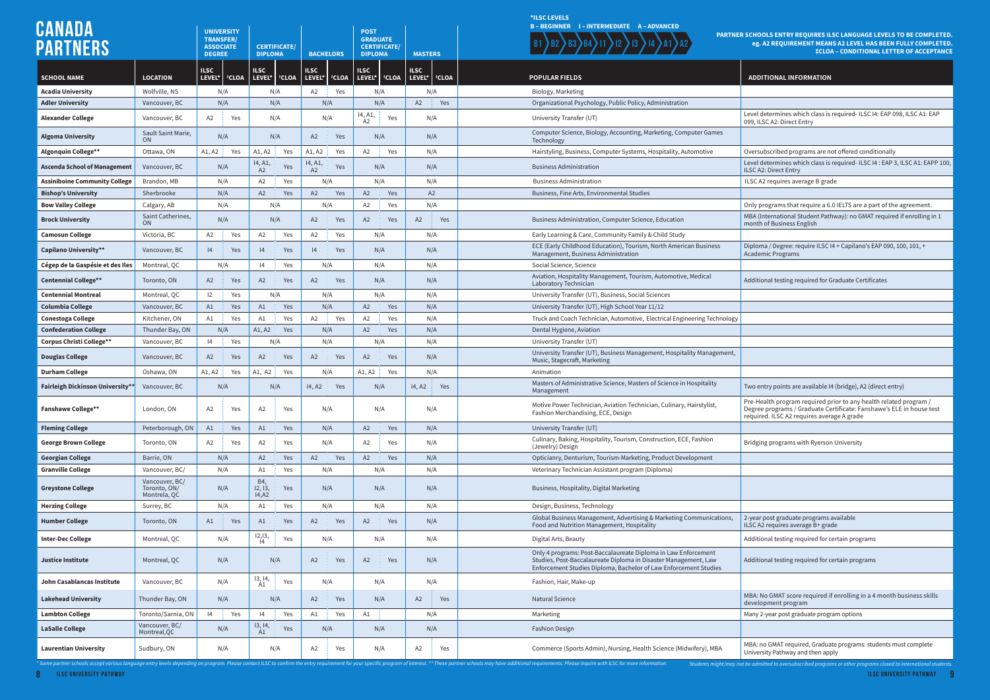**CANADA** 

Level determines which class is required- ILSC I4: EAP 098, ILSC A1: EAP 099, ILSC A2: Direct Entry

**Oversubscribed programs are not offered conditionally** Level determines which class is required- ILSC I4 : EAP 3, ILSC A1: EAPP 100, ILSC A2: Direct Entry

**Assisibility Community Community Community Concrete** B

**Only programs that require a 6.0 IELTS are a part of the agreement.**  $\vert$  MBA (International Student Pathway): no GMAT required if enrolling in 1 month of Business English

Diploma / Degree: require ILSC I4 + Capilano's EAP 090, 100, 101, + Academic Programs

Additional testing required for Graduate Certificates

Two entry points are available I4 (bridge), A2 (direct entry)

**MBA: No GMAT score required if enrolling in a 4 month business skills** development program

**Latamator College** Many 2-year post graduate program options

MBA: no GMAT required, Graduate programs: students must complete University Pathway and then apply

## **PARTICIOLS ENTRY REQUIRES ILSC LANGUAGE LEVELS TO BE COMPLETED. eg. A2 REQUIREMENT MEANS A2 LEVEL HAS BEEN FULLY COMPLETED. ‡CLOA – CONDITIONAL LETTER OF ACCEPTANCE**

## **ADDITIONAL INFORMATION**

|                                         |                                                |                       | <b>UNIVERSITY</b>                    |                          |                     |                           |              | <b>POST</b>               |                                        |                                       | B-BEGINNER I-INTERMEDIATE A-ADVANCED                                                                                                                                                                  |  |
|-----------------------------------------|------------------------------------------------|-----------------------|--------------------------------------|--------------------------|---------------------|---------------------------|--------------|---------------------------|----------------------------------------|---------------------------------------|-------------------------------------------------------------------------------------------------------------------------------------------------------------------------------------------------------|--|
| <b>PARTNERS</b>                         |                                                |                       | <b>TRANSFER/</b><br><b>ASSOCIATE</b> |                          | <b>CERTIFICATE/</b> |                           |              |                           | <b>GRADUATE</b><br><b>CERTIFICATE/</b> |                                       | <b>PARTNE</b>                                                                                                                                                                                         |  |
|                                         |                                                | <b>DEGREE</b>         |                                      | <b>DIPLOMA</b>           |                     | <b>BACHELORS</b>          |              | <b>DIPLOMA</b>            |                                        | <b>MASTERS</b>                        |                                                                                                                                                                                                       |  |
| <b>SCHOOL NAME</b>                      | <b>LOCATION</b>                                | <b>ILSC</b><br>LEVEL* | <b>‡CLOA</b>                         | <b>ILSC</b><br>LEVEL*    | <b>CLOA</b>         | <b>ILSC</b><br>LEVEL*     | <b>‡CLOA</b> | <b>ILSC</b><br>LEVEL*     | <b>*CLOA</b>                           | <b>ILSC</b><br>LEVEL*<br><b>‡CLOA</b> | <b>POPULAR FIELDS</b>                                                                                                                                                                                 |  |
| <b>Acadia University</b>                | Wolfville, NS                                  |                       | N/A                                  |                          | N/A                 | A <sub>2</sub>            | Yes          | N/A                       |                                        | N/A                                   | Biology, Marketing                                                                                                                                                                                    |  |
| <b>Adler University</b>                 | Vancouver, BC                                  | N/A                   |                                      | N/A                      |                     | N/A                       |              | N/A                       |                                        | A2<br>Yes                             | Organizational Psychology, Public Policy, Administration                                                                                                                                              |  |
| <b>Alexander College</b>                | Vancouver, BC                                  | A2<br>Yes             |                                      | N/A                      |                     | N/A                       |              | 14, A1,<br>A <sub>2</sub> | Yes                                    | N/A                                   | University Transfer (UT)                                                                                                                                                                              |  |
| <b>Algoma University</b>                | Sault Saint Marie,<br><b>ON</b>                |                       | N/A                                  |                          | N/A                 |                           | Yes<br>A2    |                           | N/A                                    | N/A                                   | Computer Science, Biology, Accounting, Marketing, Computer Games<br>Technology                                                                                                                        |  |
| Algonquin College**                     | Ottawa, ON                                     | A1, A2                | Yes                                  | A1, A2                   | Yes                 | A1, A2                    | Yes          | A <sub>2</sub>            | Yes                                    | N/A                                   | Hairstyling, Business, Computer Systems, Hospitality, Automotive                                                                                                                                      |  |
| <b>Ascenda School of Management</b>     | Vancouver, BC                                  |                       | N/A                                  | 14, A1,<br>A2            | Yes                 | 14, A1,<br>A2             | Yes          | N/A                       |                                        | N/A                                   | <b>Business Administration</b>                                                                                                                                                                        |  |
| <b>Assiniboine Community College</b>    | Brandon, MB                                    |                       | N/A                                  |                          | Yes                 | N/A                       |              | N/A                       |                                        | N/A                                   | <b>Business Administration</b>                                                                                                                                                                        |  |
| <b>Bishop's University</b>              | Sherbrooke                                     | N/A                   |                                      | A2                       | Yes                 | A2<br>Yes                 |              | A2<br>Yes                 |                                        | A2                                    | Business, Fine Arts, Environmental Studies                                                                                                                                                            |  |
| <b>Bow Valley College</b>               | Calgary, AB                                    | N/A                   |                                      | N/A                      |                     | N/A                       |              | A <sub>2</sub>            | Yes                                    | N/A                                   |                                                                                                                                                                                                       |  |
| <b>Brock University</b>                 | Saint Catherines,<br><b>ON</b>                 |                       | N/A                                  |                          | N/A                 | A2                        | Yes          | A2                        | Yes                                    | A2<br>Yes                             | Business Administration, Computer Science, Education                                                                                                                                                  |  |
| <b>Camosun College</b>                  | Victoria, BC                                   | A <sub>2</sub>        | Yes                                  | A <sub>2</sub>           | Yes                 | A <sub>2</sub>            | Yes          | N/A                       |                                        | N/A                                   | Early Learning & Care, Community Family & Child Study                                                                                                                                                 |  |
| Capilano University**                   | Vancouver, BC                                  | 4                     | Yes                                  | 4                        | Yes                 | 4                         | Yes          | N/A                       |                                        | N/A                                   | ECE (Early Childhood Education), Tourism, North American Business<br>Management, Business Administration                                                                                              |  |
| Cégep de la Gaspésie et des Iles        | Montreal, QC                                   |                       | N/A                                  | 4                        | Yes                 | N/A                       |              | N/A                       |                                        | N/A                                   | Social Science, Science                                                                                                                                                                               |  |
| <b>Centennial College**</b>             | Toronto, ON                                    | A2                    | Yes                                  | A2                       | Yes                 | A2                        | Yes          | N/A                       |                                        | N/A                                   | Aviation, Hospitality Management, Tourism, Automotive, Medical<br>Laboratory Technician                                                                                                               |  |
| <b>Centennial Montreal</b>              | Montreal, QC                                   | 12                    | Yes                                  |                          | N/A                 | N/A                       |              | N/A                       |                                        | N/A                                   | University Transfer (UT), Business, Social Sciences                                                                                                                                                   |  |
| Columbia College                        | Vancouver, BC                                  | A1                    | Yes                                  | A1                       | Yes                 | N/A                       |              | A2                        | Yes                                    | N/A                                   | University Transfer (UT), High School Year 11/12                                                                                                                                                      |  |
| Conestoga College                       | Kitchener, ON                                  | A1                    | Yes                                  | A1                       | Yes                 | A <sub>2</sub>            | Yes          | A <sub>2</sub>            | Yes                                    | N/A                                   | Truck and Coach Technician, Automotive, Electrical Engineering Technology                                                                                                                             |  |
| <b>Confederation College</b>            | Thunder Bay, ON                                | N/A                   |                                      | A1, A2                   | Yes                 | N/A                       |              | A2<br>Yes                 |                                        | N/A                                   | Dental Hygiene, Aviation                                                                                                                                                                              |  |
| <b>Corpus Christi College**</b>         | Vancouver, BC                                  | 4                     | Yes<br>N/A                           |                          |                     | N/A                       |              | N/A                       |                                        | N/A                                   | University Transfer (UT)                                                                                                                                                                              |  |
| <b>Douglas College</b>                  | Vancouver, BC                                  | A2                    | Yes                                  | A <sub>2</sub>           | Yes                 | A <sub>2</sub>            | Yes          | A <sub>2</sub>            | Yes                                    | N/A                                   | University Transfer (UT), Business Management, Hospitality Management,<br>Music, Stagecraft, Marketing                                                                                                |  |
| <b>Durham College</b>                   | Oshawa, ON                                     | A1, A2                | Yes                                  | A1, A2                   | Yes                 | N/A                       |              | A1, A2                    | Yes                                    | N/A                                   | Animation                                                                                                                                                                                             |  |
| <b>Fairleigh Dickinson University**</b> | Vancouver, BC                                  | N/A                   |                                      |                          | N/A                 | 14, A <sub>2</sub><br>Yes |              | N/A                       |                                        | 14, A <sub>2</sub><br>Yes             | Masters of Administrative Science, Masters of Science in Hospitality<br>Management                                                                                                                    |  |
| <b>Fanshawe College**</b>               | London, ON                                     | A2                    | Yes                                  | A <sub>2</sub><br>Yes    |                     | N/A                       |              | N/A                       |                                        | N/A                                   | Motive Power Technician, Aviation Technician, Culinary, Hairstylist,<br>Fashion Merchandising, ECE, Design                                                                                            |  |
| <b>Fleming College</b>                  | Peterborough, ON                               | A1                    | Yes                                  | A1                       | Yes                 | N/A                       |              | A2                        | Yes                                    | N/A                                   | University Transfer (UT)                                                                                                                                                                              |  |
| <b>George Brown College</b>             | Toronto, ON                                    | A2                    | Yes                                  | A <sub>2</sub>           | Yes                 | N/A                       |              | A <sub>2</sub>            | Yes                                    | N/A                                   | Culinary, Baking, Hospitality, Tourism, Construction, ECE, Fashion<br>(Jewelry) Design                                                                                                                |  |
| Georgian College                        | Barrie, ON                                     |                       | N/A                                  | A2                       | Yes                 | A2                        | Yes          | A2                        | Yes                                    | N/A                                   | Opticianry, Denturism, Tourism-Marketing, Product Development                                                                                                                                         |  |
| <b>Granville College</b>                | Vancouver, BC/                                 |                       | N/A                                  | A1                       | Yes                 | N/A                       |              | N/A                       |                                        | N/A                                   | Veterinary Technician Assistant program (Diploma)                                                                                                                                                     |  |
| <b>Greystone College</b>                | Vancouver, BC/<br>Toronto, ON/<br>Montrela, QC | N/A                   |                                      | B4,<br>12, 13,<br>IA, A2 | Yes                 | N/A                       |              | N/A                       |                                        | N/A                                   | Business, Hospitality, Digital Marketing                                                                                                                                                              |  |
| <b>Herzing College</b>                  | Surrey, BC                                     |                       | N/A                                  | A1                       | Yes                 | N/A                       |              | N/A                       |                                        | N/A                                   | Design, Business, Technology                                                                                                                                                                          |  |
| <b>Humber College</b>                   | Toronto, ON                                    | A1                    | Yes                                  | A1                       | Yes                 | A <sub>2</sub>            | Yes          | A <sub>2</sub>            | Yes                                    | N/A                                   | Global Business Management, Advertising & Marketing Communications,<br>Food and Nutrition Management, Hospitality                                                                                     |  |
| <b>Inter-Dec College</b>                | Montreal, QC                                   |                       | N/A                                  | $\frac{12,13}{14}$       | Yes                 | N/A                       |              | N/A                       |                                        | N/A                                   | Digital Arts, Beauty                                                                                                                                                                                  |  |
| <b>Justice Institute</b>                | Montreal, QC                                   |                       | N/A                                  |                          | N/A                 |                           | Yes<br>A2    |                           | Yes                                    | N/A                                   | Only 4 programs: Post-Baccalaureate Diploma in Law Enforcement<br>Studies, Post-Baccalaureate Diploma in Disaster Management, Law<br>Enforcement Studies Diploma, Bachelor of Law Enforcement Studies |  |
| John Casablancas Institute              | Vancouver, BC                                  | N/A                   |                                      | 13, 14,<br>Yes<br>A1     |                     | N/A                       |              | N/A                       |                                        | N/A                                   | Fashion, Hair, Make-up                                                                                                                                                                                |  |
| <b>Lakehead University</b>              | Thunder Bay, ON                                | N/A                   |                                      |                          | N/A                 |                           | Yes<br>A2    |                           | N/A                                    | A2<br>Yes                             | <b>Natural Science</b>                                                                                                                                                                                |  |
| <b>Lambton College</b>                  | Toronto/Sarnia, ON                             | 4                     | Yes                                  | 4                        | Yes                 | A1                        | Yes          |                           |                                        | N/A                                   | Marketing                                                                                                                                                                                             |  |
| <b>LaSalle College</b>                  | Vancouver, BC/<br>Montreal, QC                 | N/A                   |                                      | 13, 14,<br>A1            | Yes                 |                           | N/A          |                           | N/A                                    | N/A                                   | <b>Fashion Design</b>                                                                                                                                                                                 |  |
| <b>Laurentian University</b>            | Sudbury, ON                                    | N/A                   |                                      | N/A                      |                     | Yes<br>A2                 |              | N/A                       |                                        | Yes<br>A2                             | Commerce (Sports Admin), Nursing, Health Science (Midwifery), MBA                                                                                                                                     |  |

Pre-Health program required prior to any health related program / Degree programs / Graduate Certificate: Fanshawe's ELE in house test required. ILSC A2 requires average A grade

Bridging programs with Ryerson University

2-year post graduate programs available ILSC A2 requires average B+ grade

Additional testing required for certain programs

Additional testing required for certain programs

**\*ILSC LEVELS**

\* Some partner schools accept various language entry levels depending on program. Please contact ILSC to confirm the entry requirement for your specific program of interest. \*\* These partner schools may have additional req

**8 ILSC UNIVERSITY PATHWAY ILSC UNIVERSITY PATHWAY 9**